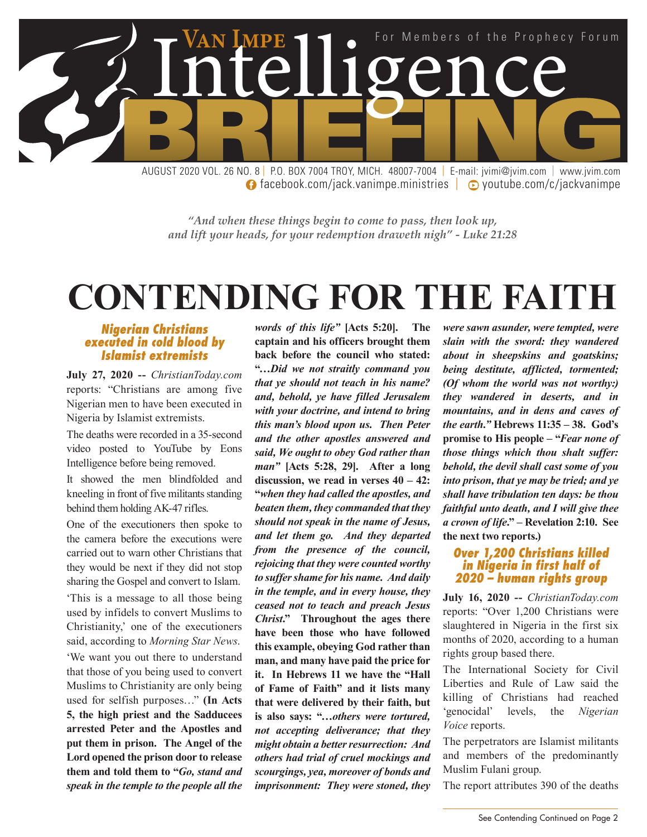

**facebook.com/jack.vanimpe.ministries | © youtube.com/c/jackvanimpe** 

*"And when these things begin to come to pass, then look up, and lift your heads, for your redemption draweth nigh" - Luke 21:28*

# **CONTENDING FOR THE FAITH**

#### *Nigerian Christians executed in cold blood by Islamist extremists*

**July 27, 2020 --** *ChristianToday.com* reports: "Christians are among five Nigerian men to have been executed in Nigeria by Islamist extremists.

The deaths were recorded in a 35-second video posted to YouTube by Eons Intelligence before being removed.

It showed the men blindfolded and kneeling in front of five militants standing behind them holding AK-47 rifles.

One of the executioners then spoke to the camera before the executions were carried out to warn other Christians that they would be next if they did not stop sharing the Gospel and convert to Islam.

'This is a message to all those being used by infidels to convert Muslims to Christianity,' one of the executioners said, according to *Morning Star News*.

'We want you out there to understand that those of you being used to convert Muslims to Christianity are only being used for selfish purposes…" **(In Acts 5, the high priest and the Sadducees arrested Peter and the Apostles and put them in prison. The Angel of the Lord opened the prison door to release them and told them to "***Go, stand and speak in the temple to the people all the* 

*words of this life"* **[Acts 5:20]. The captain and his officers brought them back before the council who stated: "***…Did we not straitly command you that ye should not teach in his name? and, behold, ye have filled Jerusalem with your doctrine, and intend to bring this man's blood upon us. Then Peter and the other apostles answered and said, We ought to obey God rather than man"* **[Acts 5:28, 29]. After a long discussion, we read in verses 40 – 42: "***when they had called the apostles, and beaten them, they commanded that they should not speak in the name of Jesus, and let them go. And they departed from the presence of the council, rejoicing that they were counted worthy to suffer shame for his name. And daily in the temple, and in every house, they ceased not to teach and preach Jesus Christ***." Throughout the ages there have been those who have followed this example, obeying God rather than man, and many have paid the price for it. In Hebrews 11 we have the "Hall of Fame of Faith" and it lists many that were delivered by their faith, but is also says: "…***others were tortured, not accepting deliverance; that they might obtain a better resurrection: And others had trial of cruel mockings and scourgings, yea, moreover of bonds and imprisonment: They were stoned, they* 

*were sawn asunder, were tempted, were slain with the sword: they wandered about in sheepskins and goatskins; being destitute, afflicted, tormented; (Of whom the world was not worthy:) they wandered in deserts, and in mountains, and in dens and caves of the earth."* **Hebrews 11:35 – 38. God's promise to His people – "***Fear none of those things which thou shalt suffer: behold, the devil shall cast some of you into prison, that ye may be tried; and ye shall have tribulation ten days: be thou faithful unto death, and I will give thee a crown of life***." – Revelation 2:10. See the next two reports.)**

#### *Over 1,200 Christians killed in Nigeria in first half of 2020 – human rights group*

**July 16, 2020 --** *ChristianToday.com* reports: "Over 1,200 Christians were slaughtered in Nigeria in the first six months of 2020, according to a human rights group based there.

The International Society for Civil Liberties and Rule of Law said the killing of Christians had reached 'genocidal' levels, the *Nigerian Voice* reports.

The perpetrators are Islamist militants and members of the predominantly Muslim Fulani group.

The report attributes 390 of the deaths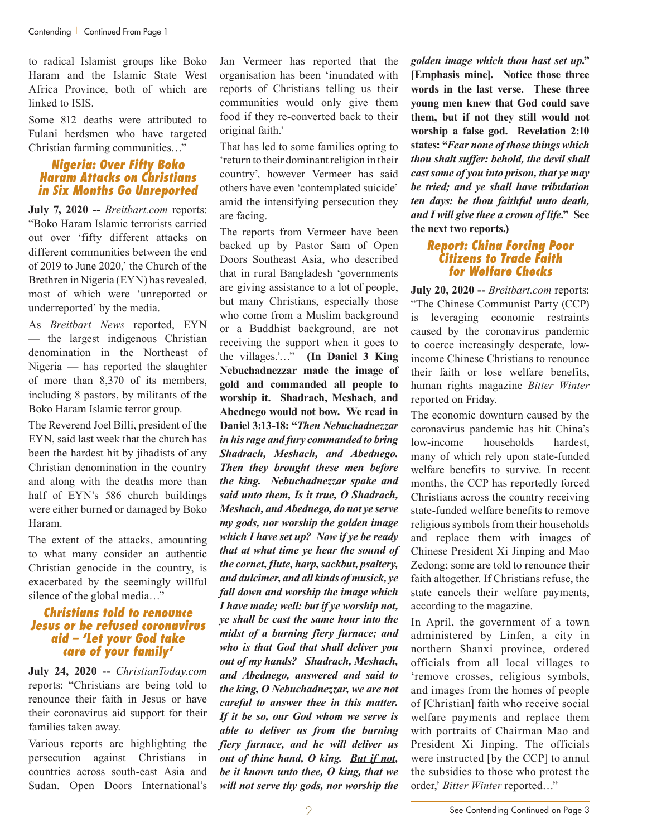to radical Islamist groups like Boko Haram and the Islamic State West Africa Province, both of which are linked to ISIS.

Some 812 deaths were attributed to Fulani herdsmen who have targeted Christian farming communities…"

### *Nigeria: Over Fifty Boko Haram Attacks on Christians in Six Months Go Unreported*

**July 7, 2020 --** *Breitbart.com* reports: "Boko Haram Islamic terrorists carried out over 'fifty different attacks on different communities between the end of 2019 to June 2020,' the Church of the Brethren in Nigeria (EYN) has revealed, most of which were 'unreported or underreported' by the media.

As *Breitbart News* reported, EYN — the largest indigenous Christian denomination in the Northeast of Nigeria — has reported the slaughter of more than 8,370 of its members, including 8 pastors, by militants of the Boko Haram Islamic terror group.

The Reverend Joel Billi, president of the EYN, said last week that the church has been the hardest hit by jihadists of any Christian denomination in the country and along with the deaths more than half of EYN's 586 church buildings were either burned or damaged by Boko Haram.

The extent of the attacks, amounting to what many consider an authentic Christian genocide in the country, is exacerbated by the seemingly willful silence of the global media…"

#### *Christians told to renounce Jesus or be refused coronavirus aid – 'Let your God take care of your family'*

**July 24, 2020 --** *ChristianToday.com* reports: "Christians are being told to renounce their faith in Jesus or have their coronavirus aid support for their families taken away.

Various reports are highlighting the persecution against Christians in countries across south-east Asia and Sudan. Open Doors International's Jan Vermeer has reported that the organisation has been 'inundated with reports of Christians telling us their communities would only give them food if they re-converted back to their original faith.'

That has led to some families opting to 'return to their dominant religion in their country', however Vermeer has said others have even 'contemplated suicide' amid the intensifying persecution they are facing.

The reports from Vermeer have been backed up by Pastor Sam of Open Doors Southeast Asia, who described that in rural Bangladesh 'governments are giving assistance to a lot of people, but many Christians, especially those who come from a Muslim background or a Buddhist background, are not receiving the support when it goes to the villages.'…" **(In Daniel 3 King Nebuchadnezzar made the image of gold and commanded all people to worship it. Shadrach, Meshach, and Abednego would not bow. We read in Daniel 3:13-18: "***Then Nebuchadnezzar in his rage and fury commanded to bring Shadrach, Meshach, and Abednego. Then they brought these men before the king. Nebuchadnezzar spake and said unto them, Is it true, O Shadrach, Meshach, and Abednego, do not ye serve my gods, nor worship the golden image which I have set up? Now if ye be ready that at what time ye hear the sound of the cornet, flute, harp, sackbut, psaltery, and dulcimer, and all kinds of musick, ye fall down and worship the image which I have made; well: but if ye worship not, ye shall be cast the same hour into the midst of a burning fiery furnace; and who is that God that shall deliver you out of my hands? Shadrach, Meshach, and Abednego, answered and said to the king, O Nebuchadnezzar, we are not careful to answer thee in this matter. If it be so, our God whom we serve is able to deliver us from the burning fiery furnace, and he will deliver us out of thine hand, O king. But if not, be it known unto thee, O king, that we will not serve thy gods, nor worship the* 

*golden image which thou hast set up***." [Emphasis mine]. Notice those three words in the last verse. These three young men knew that God could save them, but if not they still would not worship a false god. Revelation 2:10 states: "***Fear none of those things which thou shalt suffer: behold, the devil shall cast some of you into prison, that ye may be tried; and ye shall have tribulation ten days: be thou faithful unto death, and I will give thee a crown of life***." See the next two reports.)**

#### *Report: China Forcing Poor Citizens to Trade Faith for Welfare Checks*

**July 20, 2020 --** *Breitbart.com* reports: "The Chinese Communist Party (CCP) is leveraging economic restraints caused by the coronavirus pandemic to coerce increasingly desperate, lowincome Chinese Christians to renounce their faith or lose welfare benefits, human rights magazine *Bitter Winter* reported on Friday.

The economic downturn caused by the coronavirus pandemic has hit China's low-income households hardest, many of which rely upon state-funded welfare benefits to survive. In recent months, the CCP has reportedly forced Christians across the country receiving state-funded welfare benefits to remove religious symbols from their households and replace them with images of Chinese President Xi Jinping and Mao Zedong; some are told to renounce their faith altogether. If Christians refuse, the state cancels their welfare payments, according to the magazine.

In April, the government of a town administered by Linfen, a city in northern Shanxi province, ordered officials from all local villages to 'remove crosses, religious symbols, and images from the homes of people of [Christian] faith who receive social welfare payments and replace them with portraits of Chairman Mao and President Xi Jinping. The officials were instructed [by the CCP] to annul the subsidies to those who protest the order,' *Bitter Winter* reported…"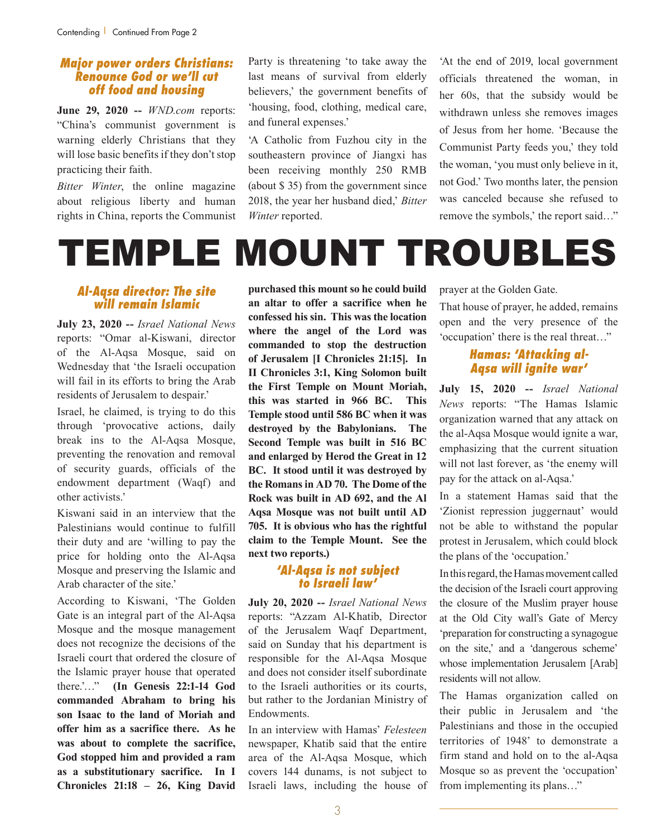#### *Major power orders Christians: Renounce God or we'll cut off food and housing*

**June 29, 2020 --** *WND.com* reports: "China's communist government is warning elderly Christians that they will lose basic benefits if they don't stop practicing their faith.

*Bitter Winter*, the online magazine about religious liberty and human rights in China, reports the Communist Party is threatening 'to take away the last means of survival from elderly believers,' the government benefits of 'housing, food, clothing, medical care, and funeral expenses.'

'A Catholic from Fuzhou city in the southeastern province of Jiangxi has been receiving monthly 250 RMB (about \$ 35) from the government since 2018, the year her husband died,' *Bitter Winter* reported.

'At the end of 2019, local government officials threatened the woman, in her 60s, that the subsidy would be withdrawn unless she removes images of Jesus from her home. 'Because the Communist Party feeds you,' they told the woman, 'you must only believe in it, not God.' Two months later, the pension was canceled because she refused to remove the symbols,' the report said…"

# TEMPLE MOUNT TROUBLES

#### *Al-Aqsa director: The site will remain Islamic*

**July 23, 2020 --** *Israel National News* reports: "Omar al-Kiswani, director of the Al-Aqsa Mosque, said on Wednesday that 'the Israeli occupation will fail in its efforts to bring the Arab residents of Jerusalem to despair.'

Israel, he claimed, is trying to do this through 'provocative actions, daily break ins to the Al-Aqsa Mosque, preventing the renovation and removal of security guards, officials of the endowment department (Waqf) and other activists.'

Kiswani said in an interview that the Palestinians would continue to fulfill their duty and are 'willing to pay the price for holding onto the Al-Aqsa Mosque and preserving the Islamic and Arab character of the site.'

According to Kiswani, 'The Golden Gate is an integral part of the Al-Aqsa Mosque and the mosque management does not recognize the decisions of the Israeli court that ordered the closure of the Islamic prayer house that operated there.'…" **(In Genesis 22:1-14 God commanded Abraham to bring his son Isaac to the land of Moriah and offer him as a sacrifice there. As he was about to complete the sacrifice, God stopped him and provided a ram as a substitutionary sacrifice. In I Chronicles 21:18 – 26, King David**  **purchased this mount so he could build an altar to offer a sacrifice when he confessed his sin. This was the location where the angel of the Lord was commanded to stop the destruction of Jerusalem [I Chronicles 21:15]. In II Chronicles 3:1, King Solomon built the First Temple on Mount Moriah, this was started in 966 BC. This Temple stood until 586 BC when it was destroyed by the Babylonians. The Second Temple was built in 516 BC and enlarged by Herod the Great in 12 BC. It stood until it was destroyed by the Romans in AD 70. The Dome of the Rock was built in AD 692, and the Al Aqsa Mosque was not built until AD 705. It is obvious who has the rightful claim to the Temple Mount. See the next two reports.)**

#### *'Al-Aqsa is not subject to Israeli law'*

**July 20, 2020 --** *Israel National News* reports: "Azzam Al-Khatib, Director of the Jerusalem Waqf Department, said on Sunday that his department is responsible for the Al-Aqsa Mosque and does not consider itself subordinate to the Israeli authorities or its courts, but rather to the Jordanian Ministry of Endowments.

In an interview with Hamas' *Felesteen* newspaper, Khatib said that the entire area of the Al-Aqsa Mosque, which covers 144 dunams, is not subject to Israeli laws, including the house of prayer at the Golden Gate.

That house of prayer, he added, remains open and the very presence of the 'occupation' there is the real threat…"

## *Hamas: 'Attacking al-Aqsa will ignite war'*

**July 15, 2020 --** *Israel National News* reports: "The Hamas Islamic organization warned that any attack on the al-Aqsa Mosque would ignite a war, emphasizing that the current situation will not last forever, as 'the enemy will pay for the attack on al-Aqsa.'

In a statement Hamas said that the 'Zionist repression juggernaut' would not be able to withstand the popular protest in Jerusalem, which could block the plans of the 'occupation.'

In this regard, the Hamas movement called the decision of the Israeli court approving the closure of the Muslim prayer house at the Old City wall's Gate of Mercy 'preparation for constructing a synagogue on the site,' and a 'dangerous scheme' whose implementation Jerusalem [Arab] residents will not allow.

The Hamas organization called on their public in Jerusalem and 'the Palestinians and those in the occupied territories of 1948' to demonstrate a firm stand and hold on to the al-Aqsa Mosque so as prevent the 'occupation' from implementing its plans…"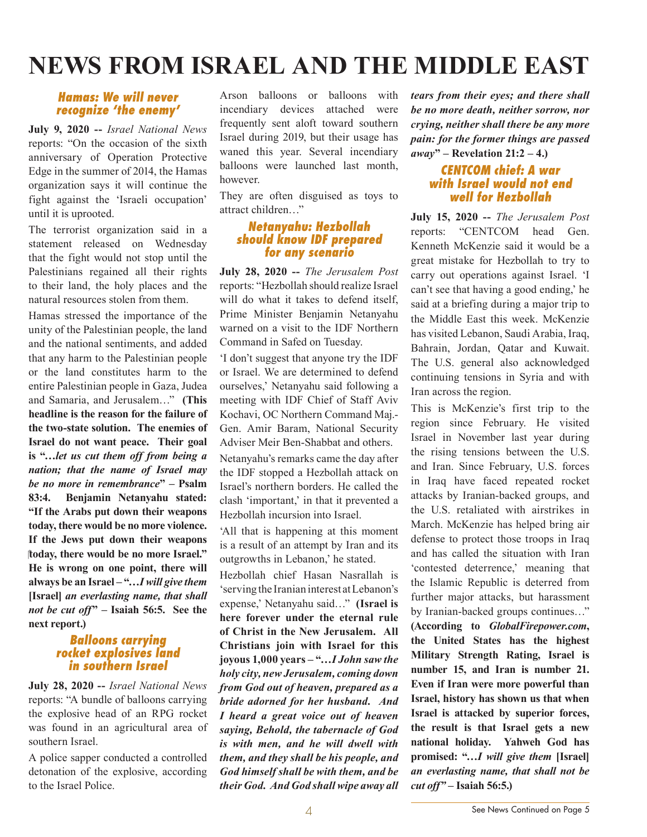# **NEWS FROM ISRAEL AND THE MIDDLE EAST**

### *Hamas: We will never recognize 'the enemy'*

**July 9, 2020 --** *Israel National News* reports: "On the occasion of the sixth anniversary of Operation Protective Edge in the summer of 2014, the Hamas organization says it will continue the fight against the 'Israeli occupation' until it is uprooted.

The terrorist organization said in a statement released on Wednesday that the fight would not stop until the Palestinians regained all their rights to their land, the holy places and the natural resources stolen from them.

Hamas stressed the importance of the unity of the Palestinian people, the land and the national sentiments, and added that any harm to the Palestinian people or the land constitutes harm to the entire Palestinian people in Gaza, Judea and Samaria, and Jerusalem…" **(This headline is the reason for the failure of the two-state solution. The enemies of Israel do not want peace. Their goal is "…***let us cut them off from being a nation; that the name of Israel may be no more in remembrance***" – Psalm 83:4. Benjamin Netanyahu stated: "If the Arabs put down their weapons today, there would be no more violence. If the Jews put down their weapons today, there would be no more Israel." He is wrong on one point, there will always be an Israel – "…***I will give them*  **[Israel]** *an everlasting name, that shall not be cut off***" – Isaiah 56:5. See the next report.)**

#### *Balloons carrying rocket explosives land in southern Israel*

**July 28, 2020 --** *Israel National News* reports: "A bundle of balloons carrying the explosive head of an RPG rocket was found in an agricultural area of southern Israel.

A police sapper conducted a controlled detonation of the explosive, according to the Israel Police.

Arson balloons or balloons with incendiary devices attached were frequently sent aloft toward southern Israel during 2019, but their usage has waned this year. Several incendiary balloons were launched last month, however.

They are often disguised as toys to attract children…"

#### *Netanyahu: Hezbollah should know IDF prepared for any scenario*

**July 28, 2020 --** *The Jerusalem Post* reports: "Hezbollah should realize Israel will do what it takes to defend itself. Prime Minister Benjamin Netanyahu warned on a visit to the IDF Northern Command in Safed on Tuesday.

'I don't suggest that anyone try the IDF or Israel. We are determined to defend ourselves,' Netanyahu said following a meeting with IDF Chief of Staff Aviv Kochavi, OC Northern Command Maj.- Gen. Amir Baram, National Security Adviser Meir Ben-Shabbat and others. Netanyahu's remarks came the day after the IDF stopped a Hezbollah attack on Israel's northern borders. He called the clash 'important,' in that it prevented a Hezbollah incursion into Israel.

'All that is happening at this moment is a result of an attempt by Iran and its outgrowths in Lebanon,' he stated.

Hezbollah chief Hasan Nasrallah is 'serving the Iranian interest at Lebanon's expense,' Netanyahu said…" **(Israel is here forever under the eternal rule of Christ in the New Jerusalem. All Christians join with Israel for this joyous 1,000 years – "…***I John saw the holy city, new Jerusalem, coming down from God out of heaven, prepared as a bride adorned for her husband. And I heard a great voice out of heaven saying, Behold, the tabernacle of God is with men, and he will dwell with them, and they shall be his people, and God himself shall be with them, and be their God. And God shall wipe away all* 

*tears from their eyes; and there shall be no more death, neither sorrow, nor crying, neither shall there be any more pain: for the former things are passed away***" – Revelation 21:2 – 4.)**

### *CENTCOM chief: A war with Israel would not end well for Hezbollah*

**July 15, 2020 --** *The Jerusalem Post* reports: "CENTCOM head Gen. Kenneth McKenzie said it would be a great mistake for Hezbollah to try to carry out operations against Israel. 'I can't see that having a good ending,' he said at a briefing during a major trip to the Middle East this week. McKenzie has visited Lebanon, Saudi Arabia, Iraq, Bahrain, Jordan, Qatar and Kuwait. The U.S. general also acknowledged continuing tensions in Syria and with Iran across the region.

This is McKenzie's first trip to the region since February. He visited Israel in November last year during the rising tensions between the U.S. and Iran. Since February, U.S. forces in Iraq have faced repeated rocket attacks by Iranian-backed groups, and the U.S. retaliated with airstrikes in March. McKenzie has helped bring air defense to protect those troops in Iraq and has called the situation with Iran 'contested deterrence,' meaning that the Islamic Republic is deterred from further major attacks, but harassment by Iranian-backed groups continues…"

**(According to** *GlobalFirepower.com***, the United States has the highest Military Strength Rating, Israel is number 15, and Iran is number 21. Even if Iran were more powerful than Israel, history has shown us that when Israel is attacked by superior forces, the result is that Israel gets a new national holiday. Yahweh God has promised: "***…I will give them* **[Israel]**  *an everlasting name, that shall not be cut off"* **– Isaiah 56:5.)**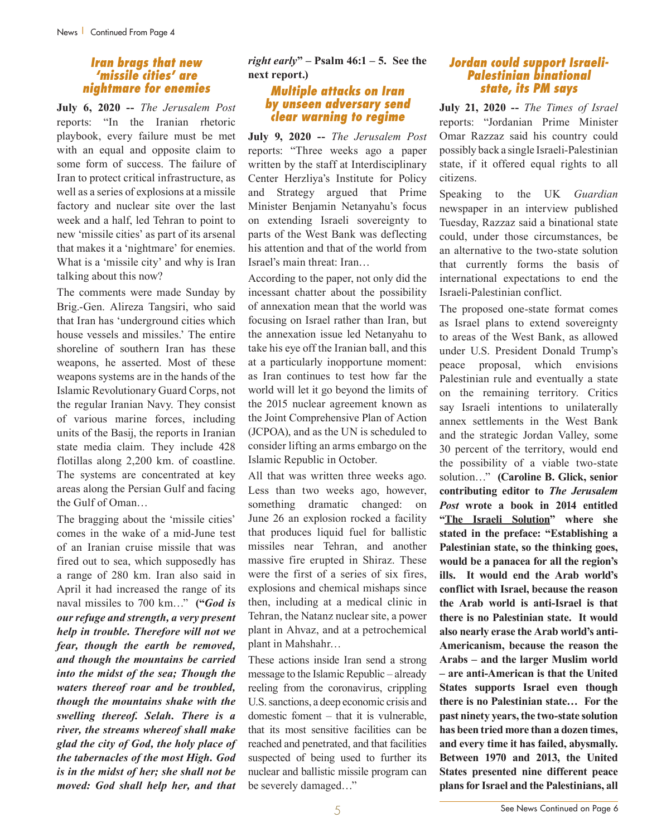#### *Iran brags that new 'missile cities' are nightmare for enemies*

**July 6, 2020 --** *The Jerusalem Post* reports: "In the Iranian rhetoric playbook, every failure must be met with an equal and opposite claim to some form of success. The failure of Iran to protect critical infrastructure, as well as a series of explosions at a missile factory and nuclear site over the last week and a half, led Tehran to point to new 'missile cities' as part of its arsenal that makes it a 'nightmare' for enemies. What is a 'missile city' and why is Iran talking about this now?

The comments were made Sunday by Brig.-Gen. Alireza Tangsiri, who said that Iran has 'underground cities which house vessels and missiles.' The entire shoreline of southern Iran has these weapons, he asserted. Most of these weapons systems are in the hands of the Islamic Revolutionary Guard Corps, not the regular Iranian Navy. They consist of various marine forces, including units of the Basij, the reports in Iranian state media claim. They include 428 flotillas along 2,200 km. of coastline. The systems are concentrated at key areas along the Persian Gulf and facing the Gulf of Oman…

The bragging about the 'missile cities' comes in the wake of a mid-June test of an Iranian cruise missile that was fired out to sea, which supposedly has a range of 280 km. Iran also said in April it had increased the range of its naval missiles to 700 km…" **("***God is our refuge and strength, a very present help in trouble. Therefore will not we fear, though the earth be removed, and though the mountains be carried into the midst of the sea; Though the waters thereof roar and be troubled, though the mountains shake with the swelling thereof. Selah. There is a river, the streams whereof shall make glad the city of God, the holy place of the tabernacles of the most High. God is in the midst of her; she shall not be moved: God shall help her, and that* 

*right early***" – Psalm 46:1 – 5. See the next report.)**

#### *Multiple attacks on Iran by unseen adversary send clear warning to regime*

**July 9, 2020 --** *The Jerusalem Post* reports: "Three weeks ago a paper written by the staff at Interdisciplinary Center Herzliya's Institute for Policy and Strategy argued that Prime Minister Benjamin Netanyahu's focus on extending Israeli sovereignty to parts of the West Bank was deflecting his attention and that of the world from Israel's main threat: Iran…

According to the paper, not only did the incessant chatter about the possibility of annexation mean that the world was focusing on Israel rather than Iran, but the annexation issue led Netanyahu to take his eye off the Iranian ball, and this at a particularly inopportune moment: as Iran continues to test how far the world will let it go beyond the limits of the 2015 nuclear agreement known as the Joint Comprehensive Plan of Action (JCPOA), and as the UN is scheduled to consider lifting an arms embargo on the Islamic Republic in October.

All that was written three weeks ago. Less than two weeks ago, however, something dramatic changed: on June 26 an explosion rocked a facility that produces liquid fuel for ballistic missiles near Tehran, and another massive fire erupted in Shiraz. These were the first of a series of six fires, explosions and chemical mishaps since then, including at a medical clinic in Tehran, the Natanz nuclear site, a power plant in Ahvaz, and at a petrochemical plant in Mahshahr…

These actions inside Iran send a strong message to the Islamic Republic – already reeling from the coronavirus, crippling U.S. sanctions, a deep economic crisis and domestic foment – that it is vulnerable, that its most sensitive facilities can be reached and penetrated, and that facilities suspected of being used to further its nuclear and ballistic missile program can be severely damaged…"

#### *Jordan could support Israeli-Palestinian binational state, its PM says*

**July 21, 2020 --** *The Times of Israel* reports: "Jordanian Prime Minister Omar Razzaz said his country could possibly back a single Israeli-Palestinian state, if it offered equal rights to all citizens.

Speaking to the UK *Guardian* newspaper in an interview published Tuesday, Razzaz said a binational state could, under those circumstances, be an alternative to the two-state solution that currently forms the basis of international expectations to end the Israeli-Palestinian conflict.

The proposed one-state format comes as Israel plans to extend sovereignty to areas of the West Bank, as allowed under U.S. President Donald Trump's peace proposal, which envisions Palestinian rule and eventually a state on the remaining territory. Critics say Israeli intentions to unilaterally annex settlements in the West Bank and the strategic Jordan Valley, some 30 percent of the territory, would end the possibility of a viable two-state solution…" **(Caroline B. Glick, senior contributing editor to** *The Jerusalem Post* **wrote a book in 2014 entitled "The Israeli Solution" where she stated in the preface: "Establishing a Palestinian state, so the thinking goes, would be a panacea for all the region's ills. It would end the Arab world's conflict with Israel, because the reason the Arab world is anti-Israel is that there is no Palestinian state. It would also nearly erase the Arab world's anti-Americanism, because the reason the Arabs – and the larger Muslim world – are anti-American is that the United States supports Israel even though there is no Palestinian state… For the past ninety years, the two-state solution has been tried more than a dozen times, and every time it has failed, abysmally. Between 1970 and 2013, the United States presented nine different peace plans for Israel and the Palestinians, all**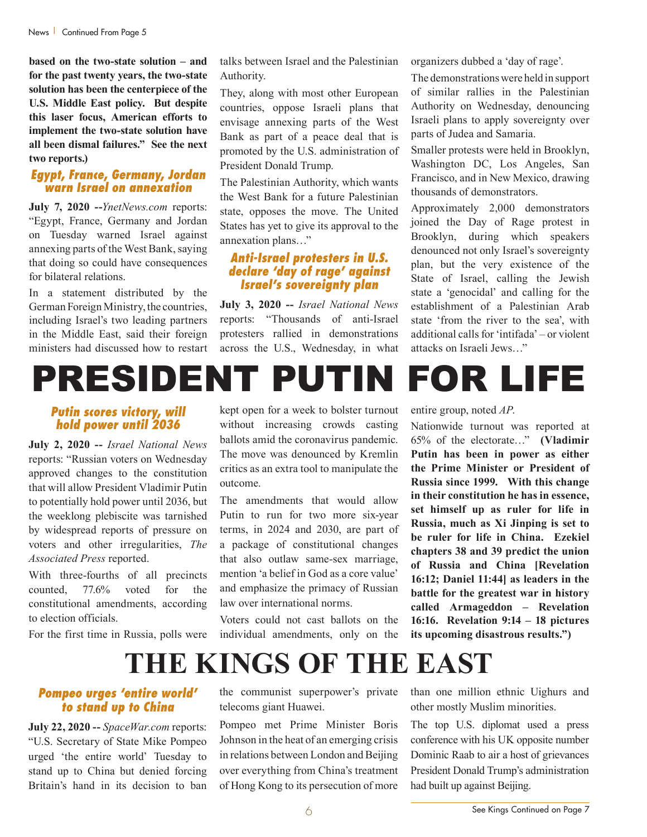**based on the two-state solution – and for the past twenty years, the two-state solution has been the centerpiece of the U.S. Middle East policy. But despite this laser focus, American efforts to implement the two-state solution have all been dismal failures." See the next two reports.)**

#### *Egypt, France, Germany, Jordan warn Israel on annexation*

**July 7, 2020 --***YnetNews.com* reports: "Egypt, France, Germany and Jordan on Tuesday warned Israel against annexing parts of the West Bank, saying that doing so could have consequences for bilateral relations.

In a statement distributed by the German Foreign Ministry, the countries, including Israel's two leading partners in the Middle East, said their foreign ministers had discussed how to restart

talks between Israel and the Palestinian Authority.

They, along with most other European countries, oppose Israeli plans that envisage annexing parts of the West Bank as part of a peace deal that is promoted by the U.S. administration of President Donald Trump.

The Palestinian Authority, which wants the West Bank for a future Palestinian state, opposes the move. The United States has yet to give its approval to the annexation plans…"

## *Anti-Israel protesters in U.S. declare 'day of rage' against Israel's sovereignty plan*

**July 3, 2020 --** *Israel National News* reports: "Thousands of anti-Israel protesters rallied in demonstrations across the U.S., Wednesday, in what organizers dubbed a 'day of rage'.

The demonstrations were held in support of similar rallies in the Palestinian Authority on Wednesday, denouncing Israeli plans to apply sovereignty over parts of Judea and Samaria.

Smaller protests were held in Brooklyn, Washington DC, Los Angeles, San Francisco, and in New Mexico, drawing thousands of demonstrators.

Approximately 2,000 demonstrators joined the Day of Rage protest in Brooklyn, during which speakers denounced not only Israel's sovereignty plan, but the very existence of the State of Israel, calling the Jewish state a 'genocidal' and calling for the establishment of a Palestinian Arab state 'from the river to the sea', with additional calls for 'intifada' – or violent attacks on Israeli Jews…"

# PRESIDENT PUTIN FOR LIFE

#### *Putin scores victory, will hold power until 2036*

**July 2, 2020 --** *Israel National News* reports: "Russian voters on Wednesday approved changes to the constitution that will allow President Vladimir Putin to potentially hold power until 2036, but the weeklong plebiscite was tarnished by widespread reports of pressure on voters and other irregularities, *The Associated Press* reported.

With three-fourths of all precincts counted, 77.6% voted for the constitutional amendments, according to election officials.

For the first time in Russia, polls were

kept open for a week to bolster turnout without increasing crowds casting ballots amid the coronavirus pandemic. The move was denounced by Kremlin critics as an extra tool to manipulate the outcome.

The amendments that would allow Putin to run for two more six-year terms, in 2024 and 2030, are part of a package of constitutional changes that also outlaw same-sex marriage, mention 'a belief in God as a core value' and emphasize the primacy of Russian law over international norms.

Voters could not cast ballots on the individual amendments, only on the entire group, noted *AP*.

Nationwide turnout was reported at 65% of the electorate…" **(Vladimir Putin has been in power as either the Prime Minister or President of Russia since 1999. With this change in their constitution he has in essence, set himself up as ruler for life in Russia, much as Xi Jinping is set to be ruler for life in China. Ezekiel chapters 38 and 39 predict the union of Russia and China [Revelation 16:12; Daniel 11:44] as leaders in the battle for the greatest war in history called Armageddon – Revelation 16:16. Revelation 9:14 – 18 pictures its upcoming disastrous results.")**

**THE KINGS OF THE EAST**

# *Pompeo urges 'entire world' to stand up to China*

**July 22, 2020 --** *SpaceWar.com* reports: "U.S. Secretary of State Mike Pompeo urged 'the entire world' Tuesday to stand up to China but denied forcing Britain's hand in its decision to ban the communist superpower's private telecoms giant Huawei.

Pompeo met Prime Minister Boris Johnson in the heat of an emerging crisis in relations between London and Beijing over everything from China's treatment of Hong Kong to its persecution of more than one million ethnic Uighurs and other mostly Muslim minorities.

The top U.S. diplomat used a press conference with his UK opposite number Dominic Raab to air a host of grievances President Donald Trump's administration had built up against Beijing.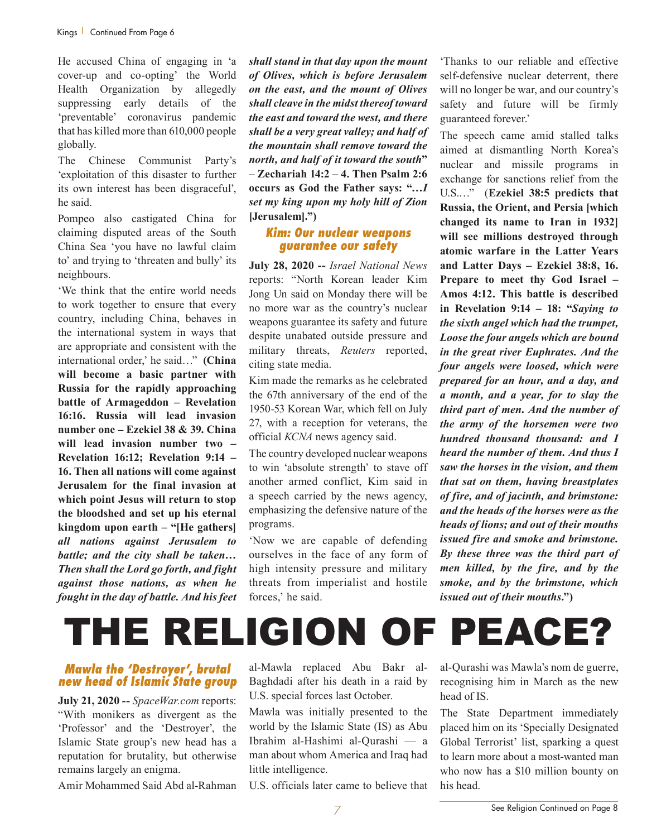He accused China of engaging in 'a cover-up and co-opting' the World Health Organization by allegedly suppressing early details of the 'preventable' coronavirus pandemic that has killed more than 610,000 people globally.

The Chinese Communist Party's 'exploitation of this disaster to further its own interest has been disgraceful', he said.

Pompeo also castigated China for claiming disputed areas of the South China Sea 'you have no lawful claim to' and trying to 'threaten and bully' its neighbours.

'We think that the entire world needs to work together to ensure that every country, including China, behaves in the international system in ways that are appropriate and consistent with the international order,' he said…" **(China will become a basic partner with Russia for the rapidly approaching battle of Armageddon – Revelation 16:16. Russia will lead invasion number one – Ezekiel 38 & 39. China will lead invasion number two – Revelation 16:12; Revelation 9:14 – 16. Then all nations will come against Jerusalem for the final invasion at which point Jesus will return to stop the bloodshed and set up his eternal kingdom upon earth – "[He gathers]**  *all nations against Jerusalem to battle; and the city shall be taken… Then shall the Lord go forth, and fight against those nations, as when he fought in the day of battle. And his feet*  *shall stand in that day upon the mount of Olives, which is before Jerusalem on the east, and the mount of Olives shall cleave in the midst thereof toward the east and toward the west, and there shall be a very great valley; and half of the mountain shall remove toward the north, and half of it toward the south***" – Zechariah 14:2 – 4. Then Psalm 2:6 occurs as God the Father says: "…***I set my king upon my holy hill of Zion* **[Jerusalem].")**

# *Kim: Our nuclear weapons guarantee our safety*

**July 28, 2020 --** *Israel National News* reports: "North Korean leader Kim Jong Un said on Monday there will be no more war as the country's nuclear weapons guarantee its safety and future despite unabated outside pressure and military threats, *Reuters* reported, citing state media.

Kim made the remarks as he celebrated the 67th anniversary of the end of the 1950-53 Korean War, which fell on July 27, with a reception for veterans, the official *KCNA* news agency said.

The country developed nuclear weapons to win 'absolute strength' to stave off another armed conflict, Kim said in a speech carried by the news agency, emphasizing the defensive nature of the programs.

'Now we are capable of defending ourselves in the face of any form of high intensity pressure and military threats from imperialist and hostile forces,' he said.

'Thanks to our reliable and effective self-defensive nuclear deterrent, there will no longer be war, and our country's safety and future will be firmly guaranteed forever.'

The speech came amid stalled talks aimed at dismantling North Korea's nuclear and missile programs in exchange for sanctions relief from the U.S.…" (**Ezekiel 38:5 predicts that Russia, the Orient, and Persia [which changed its name to Iran in 1932] will see millions destroyed through atomic warfare in the Latter Years and Latter Days – Ezekiel 38:8, 16. Prepare to meet thy God Israel – Amos 4:12. This battle is described in Revelation 9:14 – 18: "***Saying to the sixth angel which had the trumpet, Loose the four angels which are bound in the great river Euphrates. And the four angels were loosed, which were prepared for an hour, and a day, and a month, and a year, for to slay the third part of men. And the number of the army of the horsemen were two hundred thousand thousand: and I heard the number of them. And thus I saw the horses in the vision, and them that sat on them, having breastplates of fire, and of jacinth, and brimstone: and the heads of the horses were as the heads of lions; and out of their mouths issued fire and smoke and brimstone. By these three was the third part of men killed, by the fire, and by the smoke, and by the brimstone, which issued out of their mouths***.")**

# THE RELIGION OF PEACE?

# *Mawla the 'Destroyer', brutal new head of Islamic State group*

**July 21, 2020 --** *SpaceWar.com* reports: "With monikers as divergent as the 'Professor' and the 'Destroyer', the Islamic State group's new head has a reputation for brutality, but otherwise remains largely an enigma.

Amir Mohammed Said Abd al-Rahman

al-Mawla replaced Abu Bakr al-Baghdadi after his death in a raid by U.S. special forces last October.

Mawla was initially presented to the world by the Islamic State (IS) as Abu Ibrahim al-Hashimi al-Qurashi — a man about whom America and Iraq had little intelligence.

U.S. officials later came to believe that

al-Qurashi was Mawla's nom de guerre, recognising him in March as the new head of IS.

The State Department immediately placed him on its 'Specially Designated Global Terrorist' list, sparking a quest to learn more about a most-wanted man who now has a \$10 million bounty on his head.